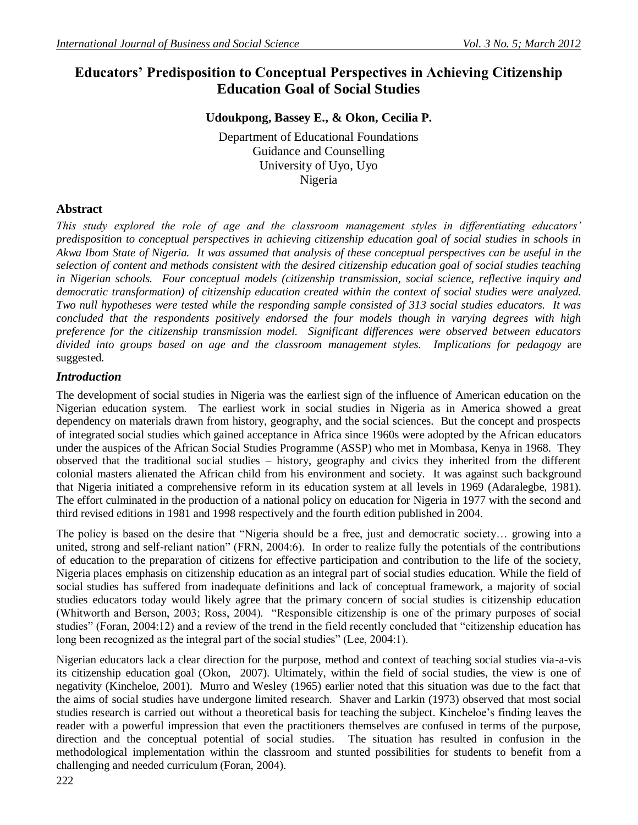# **Educators' Predisposition to Conceptual Perspectives in Achieving Citizenship Education Goal of Social Studies**

# **Udoukpong, Bassey E., & Okon, Cecilia P.**

Department of Educational Foundations Guidance and Counselling University of Uyo, Uyo Nigeria

# **Abstract**

*This study explored the role of age and the classroom management styles in differentiating educators' predisposition to conceptual perspectives in achieving citizenship education goal of social studies in schools in Akwa Ibom State of Nigeria. It was assumed that analysis of these conceptual perspectives can be useful in the selection of content and methods consistent with the desired citizenship education goal of social studies teaching in Nigerian schools. Four conceptual models (citizenship transmission, social science, reflective inquiry and democratic transformation) of citizenship education created within the context of social studies were analyzed. Two null hypotheses were tested while the responding sample consisted of 313 social studies educators. It was concluded that the respondents positively endorsed the four models though in varying degrees with high preference for the citizenship transmission model. Significant differences were observed between educators divided into groups based on age and the classroom management styles. Implications for pedagogy* are suggested.

# *Introduction*

The development of social studies in Nigeria was the earliest sign of the influence of American education on the Nigerian education system. The earliest work in social studies in Nigeria as in America showed a great dependency on materials drawn from history, geography, and the social sciences. But the concept and prospects of integrated social studies which gained acceptance in Africa since 1960s were adopted by the African educators under the auspices of the African Social Studies Programme (ASSP) who met in Mombasa, Kenya in 1968. They observed that the traditional social studies – history, geography and civics they inherited from the different colonial masters alienated the African child from his environment and society. It was against such background that Nigeria initiated a comprehensive reform in its education system at all levels in 1969 (Adaralegbe, 1981). The effort culminated in the production of a national policy on education for Nigeria in 1977 with the second and third revised editions in 1981 and 1998 respectively and the fourth edition published in 2004.

The policy is based on the desire that "Nigeria should be a free, just and democratic society… growing into a united, strong and self-reliant nation" (FRN, 2004:6). In order to realize fully the potentials of the contributions of education to the preparation of citizens for effective participation and contribution to the life of the society, Nigeria places emphasis on citizenship education as an integral part of social studies education. While the field of social studies has suffered from inadequate definitions and lack of conceptual framework, a majority of social studies educators today would likely agree that the primary concern of social studies is citizenship education (Whitworth and Berson, 2003; Ross, 2004). "Responsible citizenship is one of the primary purposes of social studies" (Foran, 2004:12) and a review of the trend in the field recently concluded that "citizenship education has long been recognized as the integral part of the social studies" (Lee, 2004:1).

Nigerian educators lack a clear direction for the purpose, method and context of teaching social studies via-a-vis its citizenship education goal (Okon, 2007). Ultimately, within the field of social studies, the view is one of negativity (Kincheloe, 2001). Murro and Wesley (1965) earlier noted that this situation was due to the fact that the aims of social studies have undergone limited research. Shaver and Larkin (1973) observed that most social studies research is carried out without a theoretical basis for teaching the subject. Kincheloe's finding leaves the reader with a powerful impression that even the practitioners themselves are confused in terms of the purpose, direction and the conceptual potential of social studies. The situation has resulted in confusion in the methodological implementation within the classroom and stunted possibilities for students to benefit from a challenging and needed curriculum (Foran, 2004).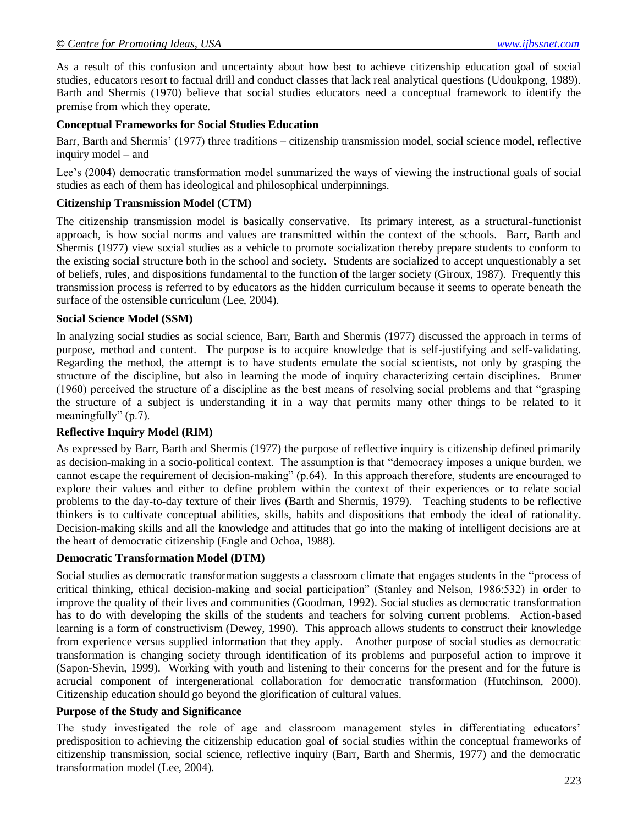## *© Centre for Promoting Ideas, USA www.ijbssnet.com*

As a result of this confusion and uncertainty about how best to achieve citizenship education goal of social studies, educators resort to factual drill and conduct classes that lack real analytical questions (Udoukpong, 1989). Barth and Shermis (1970) believe that social studies educators need a conceptual framework to identify the premise from which they operate.

### **Conceptual Frameworks for Social Studies Education**

Barr, Barth and Shermis' (1977) three traditions – citizenship transmission model, social science model, reflective inquiry model – and

Lee's (2004) democratic transformation model summarized the ways of viewing the instructional goals of social studies as each of them has ideological and philosophical underpinnings.

#### **Citizenship Transmission Model (CTM)**

The citizenship transmission model is basically conservative. Its primary interest, as a structural-functionist approach, is how social norms and values are transmitted within the context of the schools. Barr, Barth and Shermis (1977) view social studies as a vehicle to promote socialization thereby prepare students to conform to the existing social structure both in the school and society. Students are socialized to accept unquestionably a set of beliefs, rules, and dispositions fundamental to the function of the larger society (Giroux, 1987). Frequently this transmission process is referred to by educators as the hidden curriculum because it seems to operate beneath the surface of the ostensible curriculum (Lee, 2004).

#### **Social Science Model (SSM)**

In analyzing social studies as social science, Barr, Barth and Shermis (1977) discussed the approach in terms of purpose, method and content. The purpose is to acquire knowledge that is self-justifying and self-validating. Regarding the method, the attempt is to have students emulate the social scientists, not only by grasping the structure of the discipline, but also in learning the mode of inquiry characterizing certain disciplines. Bruner (1960) perceived the structure of a discipline as the best means of resolving social problems and that "grasping the structure of a subject is understanding it in a way that permits many other things to be related to it meaningfully" (p.7).

#### **Reflective Inquiry Model (RIM)**

As expressed by Barr, Barth and Shermis (1977) the purpose of reflective inquiry is citizenship defined primarily as decision-making in a socio-political context. The assumption is that "democracy imposes a unique burden, we cannot escape the requirement of decision-making" (p.64). In this approach therefore, students are encouraged to explore their values and either to define problem within the context of their experiences or to relate social problems to the day-to-day texture of their lives (Barth and Shermis, 1979). Teaching students to be reflective thinkers is to cultivate conceptual abilities, skills, habits and dispositions that embody the ideal of rationality. Decision-making skills and all the knowledge and attitudes that go into the making of intelligent decisions are at the heart of democratic citizenship (Engle and Ochoa, 1988).

#### **Democratic Transformation Model (DTM)**

Social studies as democratic transformation suggests a classroom climate that engages students in the "process of critical thinking, ethical decision-making and social participation" (Stanley and Nelson, 1986:532) in order to improve the quality of their lives and communities (Goodman, 1992). Social studies as democratic transformation has to do with developing the skills of the students and teachers for solving current problems. Action-based learning is a form of constructivism (Dewey, 1990). This approach allows students to construct their knowledge from experience versus supplied information that they apply. Another purpose of social studies as democratic transformation is changing society through identification of its problems and purposeful action to improve it (Sapon-Shevin, 1999). Working with youth and listening to their concerns for the present and for the future is acrucial component of intergenerational collaboration for democratic transformation (Hutchinson, 2000). Citizenship education should go beyond the glorification of cultural values.

### **Purpose of the Study and Significance**

The study investigated the role of age and classroom management styles in differentiating educators' predisposition to achieving the citizenship education goal of social studies within the conceptual frameworks of citizenship transmission, social science, reflective inquiry (Barr, Barth and Shermis, 1977) and the democratic transformation model (Lee, 2004).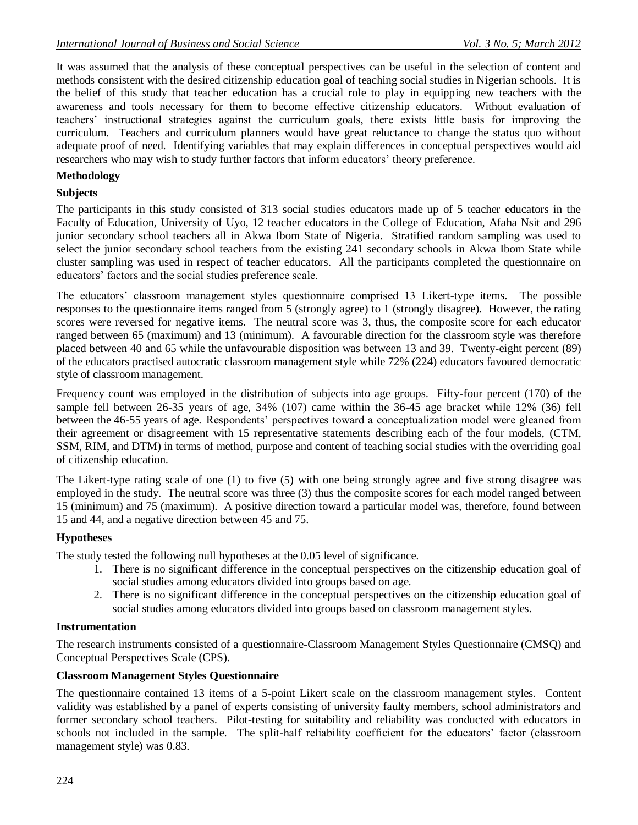It was assumed that the analysis of these conceptual perspectives can be useful in the selection of content and methods consistent with the desired citizenship education goal of teaching social studies in Nigerian schools. It is the belief of this study that teacher education has a crucial role to play in equipping new teachers with the awareness and tools necessary for them to become effective citizenship educators. Without evaluation of teachers' instructional strategies against the curriculum goals, there exists little basis for improving the curriculum. Teachers and curriculum planners would have great reluctance to change the status quo without adequate proof of need. Identifying variables that may explain differences in conceptual perspectives would aid researchers who may wish to study further factors that inform educators' theory preference.

# **Methodology**

# **Subjects**

The participants in this study consisted of 313 social studies educators made up of 5 teacher educators in the Faculty of Education, University of Uyo, 12 teacher educators in the College of Education, Afaha Nsit and 296 junior secondary school teachers all in Akwa Ibom State of Nigeria. Stratified random sampling was used to select the junior secondary school teachers from the existing 241 secondary schools in Akwa Ibom State while cluster sampling was used in respect of teacher educators. All the participants completed the questionnaire on educators' factors and the social studies preference scale.

The educators' classroom management styles questionnaire comprised 13 Likert-type items. The possible responses to the questionnaire items ranged from 5 (strongly agree) to 1 (strongly disagree). However, the rating scores were reversed for negative items. The neutral score was 3, thus, the composite score for each educator ranged between 65 (maximum) and 13 (minimum). A favourable direction for the classroom style was therefore placed between 40 and 65 while the unfavourable disposition was between 13 and 39. Twenty-eight percent (89) of the educators practised autocratic classroom management style while 72% (224) educators favoured democratic style of classroom management.

Frequency count was employed in the distribution of subjects into age groups. Fifty-four percent (170) of the sample fell between 26-35 years of age, 34% (107) came within the 36-45 age bracket while 12% (36) fell between the 46-55 years of age. Respondents' perspectives toward a conceptualization model were gleaned from their agreement or disagreement with 15 representative statements describing each of the four models, (CTM, SSM, RIM, and DTM) in terms of method, purpose and content of teaching social studies with the overriding goal of citizenship education.

The Likert-type rating scale of one (1) to five (5) with one being strongly agree and five strong disagree was employed in the study. The neutral score was three (3) thus the composite scores for each model ranged between 15 (minimum) and 75 (maximum). A positive direction toward a particular model was, therefore, found between 15 and 44, and a negative direction between 45 and 75.

# **Hypotheses**

The study tested the following null hypotheses at the 0.05 level of significance.

- 1. There is no significant difference in the conceptual perspectives on the citizenship education goal of social studies among educators divided into groups based on age.
- 2. There is no significant difference in the conceptual perspectives on the citizenship education goal of social studies among educators divided into groups based on classroom management styles.

# **Instrumentation**

The research instruments consisted of a questionnaire-Classroom Management Styles Questionnaire (CMSQ) and Conceptual Perspectives Scale (CPS).

# **Classroom Management Styles Questionnaire**

The questionnaire contained 13 items of a 5-point Likert scale on the classroom management styles. Content validity was established by a panel of experts consisting of university faulty members, school administrators and former secondary school teachers. Pilot-testing for suitability and reliability was conducted with educators in schools not included in the sample. The split-half reliability coefficient for the educators' factor (classroom management style) was 0.83.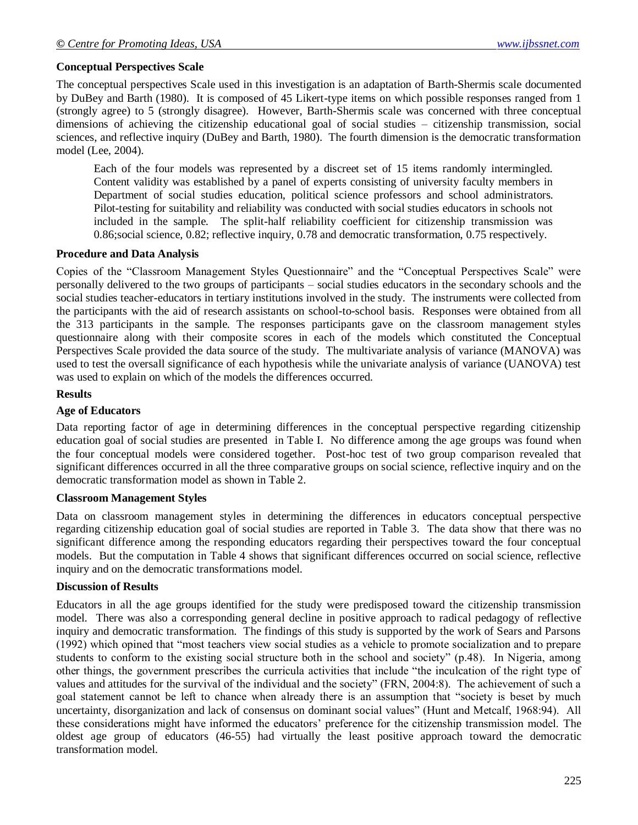# **Conceptual Perspectives Scale**

The conceptual perspectives Scale used in this investigation is an adaptation of Barth-Shermis scale documented by DuBey and Barth (1980). It is composed of 45 Likert-type items on which possible responses ranged from 1 (strongly agree) to 5 (strongly disagree). However, Barth-Shermis scale was concerned with three conceptual dimensions of achieving the citizenship educational goal of social studies – citizenship transmission, social sciences, and reflective inquiry (DuBey and Barth, 1980). The fourth dimension is the democratic transformation model (Lee, 2004).

Each of the four models was represented by a discreet set of 15 items randomly intermingled. Content validity was established by a panel of experts consisting of university faculty members in Department of social studies education, political science professors and school administrators. Pilot-testing for suitability and reliability was conducted with social studies educators in schools not included in the sample. The split-half reliability coefficient for citizenship transmission was 0.86;social science, 0.82; reflective inquiry, 0.78 and democratic transformation, 0.75 respectively.

### **Procedure and Data Analysis**

Copies of the "Classroom Management Styles Questionnaire" and the "Conceptual Perspectives Scale" were personally delivered to the two groups of participants – social studies educators in the secondary schools and the social studies teacher-educators in tertiary institutions involved in the study. The instruments were collected from the participants with the aid of research assistants on school-to-school basis. Responses were obtained from all the 313 participants in the sample. The responses participants gave on the classroom management styles questionnaire along with their composite scores in each of the models which constituted the Conceptual Perspectives Scale provided the data source of the study. The multivariate analysis of variance (MANOVA) was used to test the oversall significance of each hypothesis while the univariate analysis of variance (UANOVA) test was used to explain on which of the models the differences occurred.

#### **Results**

#### **Age of Educators**

Data reporting factor of age in determining differences in the conceptual perspective regarding citizenship education goal of social studies are presented in Table I. No difference among the age groups was found when the four conceptual models were considered together. Post-hoc test of two group comparison revealed that significant differences occurred in all the three comparative groups on social science, reflective inquiry and on the democratic transformation model as shown in Table 2.

## **Classroom Management Styles**

Data on classroom management styles in determining the differences in educators conceptual perspective regarding citizenship education goal of social studies are reported in Table 3. The data show that there was no significant difference among the responding educators regarding their perspectives toward the four conceptual models. But the computation in Table 4 shows that significant differences occurred on social science, reflective inquiry and on the democratic transformations model.

### **Discussion of Results**

Educators in all the age groups identified for the study were predisposed toward the citizenship transmission model. There was also a corresponding general decline in positive approach to radical pedagogy of reflective inquiry and democratic transformation. The findings of this study is supported by the work of Sears and Parsons (1992) which opined that "most teachers view social studies as a vehicle to promote socialization and to prepare students to conform to the existing social structure both in the school and society" (p.48). In Nigeria, among other things, the government prescribes the curricula activities that include "the inculcation of the right type of values and attitudes for the survival of the individual and the society" (FRN, 2004:8). The achievement of such a goal statement cannot be left to chance when already there is an assumption that "society is beset by much uncertainty, disorganization and lack of consensus on dominant social values" (Hunt and Metcalf, 1968:94). All these considerations might have informed the educators' preference for the citizenship transmission model. The oldest age group of educators (46-55) had virtually the least positive approach toward the democratic transformation model.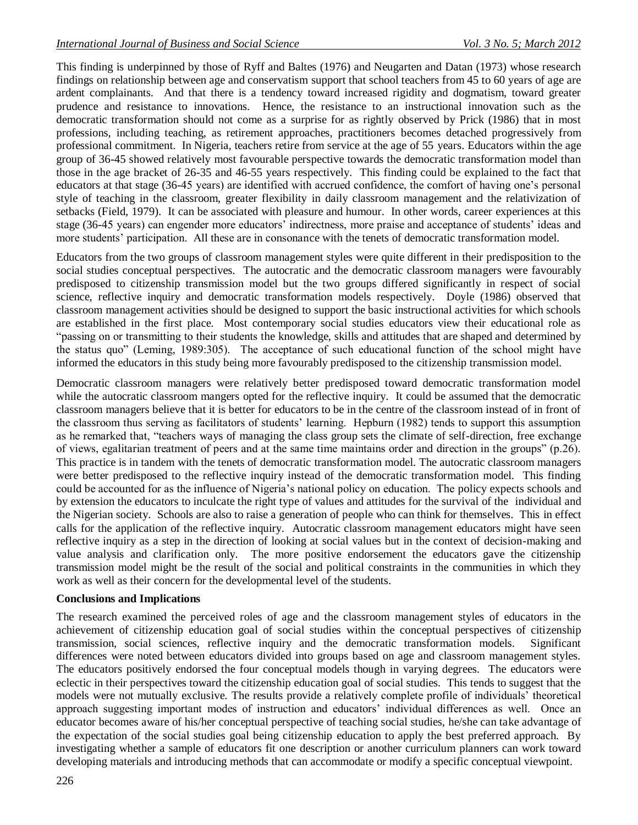This finding is underpinned by those of Ryff and Baltes (1976) and Neugarten and Datan (1973) whose research findings on relationship between age and conservatism support that school teachers from 45 to 60 years of age are ardent complainants. And that there is a tendency toward increased rigidity and dogmatism, toward greater prudence and resistance to innovations. Hence, the resistance to an instructional innovation such as the democratic transformation should not come as a surprise for as rightly observed by Prick (1986) that in most professions, including teaching, as retirement approaches, practitioners becomes detached progressively from professional commitment. In Nigeria, teachers retire from service at the age of 55 years. Educators within the age group of 36-45 showed relatively most favourable perspective towards the democratic transformation model than those in the age bracket of 26-35 and 46-55 years respectively. This finding could be explained to the fact that educators at that stage (36-45 years) are identified with accrued confidence, the comfort of having one's personal style of teaching in the classroom, greater flexibility in daily classroom management and the relativization of setbacks (Field, 1979). It can be associated with pleasure and humour. In other words, career experiences at this stage (36-45 years) can engender more educators' indirectness, more praise and acceptance of students' ideas and more students' participation. All these are in consonance with the tenets of democratic transformation model.

Educators from the two groups of classroom management styles were quite different in their predisposition to the social studies conceptual perspectives. The autocratic and the democratic classroom managers were favourably predisposed to citizenship transmission model but the two groups differed significantly in respect of social science, reflective inquiry and democratic transformation models respectively. Doyle (1986) observed that classroom management activities should be designed to support the basic instructional activities for which schools are established in the first place. Most contemporary social studies educators view their educational role as "passing on or transmitting to their students the knowledge, skills and attitudes that are shaped and determined by the status quo" (Leming, 1989:305). The acceptance of such educational function of the school might have informed the educators in this study being more favourably predisposed to the citizenship transmission model.

Democratic classroom managers were relatively better predisposed toward democratic transformation model while the autocratic classroom mangers opted for the reflective inquiry. It could be assumed that the democratic classroom managers believe that it is better for educators to be in the centre of the classroom instead of in front of the classroom thus serving as facilitators of students' learning. Hepburn (1982) tends to support this assumption as he remarked that, "teachers ways of managing the class group sets the climate of self-direction, free exchange of views, egalitarian treatment of peers and at the same time maintains order and direction in the groups" (p.26). This practice is in tandem with the tenets of democratic transformation model. The autocratic classroom managers were better predisposed to the reflective inquiry instead of the democratic transformation model. This finding could be accounted for as the influence of Nigeria's national policy on education. The policy expects schools and by extension the educators to inculcate the right type of values and attitudes for the survival of the individual and the Nigerian society. Schools are also to raise a generation of people who can think for themselves. This in effect calls for the application of the reflective inquiry. Autocratic classroom management educators might have seen reflective inquiry as a step in the direction of looking at social values but in the context of decision-making and value analysis and clarification only. The more positive endorsement the educators gave the citizenship transmission model might be the result of the social and political constraints in the communities in which they work as well as their concern for the developmental level of the students.

# **Conclusions and Implications**

The research examined the perceived roles of age and the classroom management styles of educators in the achievement of citizenship education goal of social studies within the conceptual perspectives of citizenship transmission, social sciences, reflective inquiry and the democratic transformation models. Significant differences were noted between educators divided into groups based on age and classroom management styles. The educators positively endorsed the four conceptual models though in varying degrees. The educators were eclectic in their perspectives toward the citizenship education goal of social studies. This tends to suggest that the models were not mutually exclusive. The results provide a relatively complete profile of individuals' theoretical approach suggesting important modes of instruction and educators' individual differences as well. Once an educator becomes aware of his/her conceptual perspective of teaching social studies, he/she can take advantage of the expectation of the social studies goal being citizenship education to apply the best preferred approach. By investigating whether a sample of educators fit one description or another curriculum planners can work toward developing materials and introducing methods that can accommodate or modify a specific conceptual viewpoint.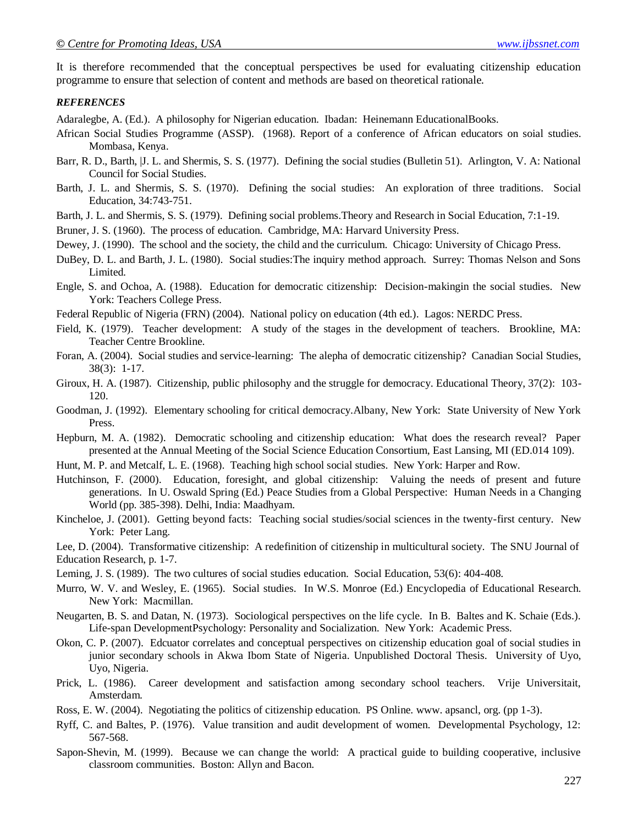It is therefore recommended that the conceptual perspectives be used for evaluating citizenship education programme to ensure that selection of content and methods are based on theoretical rationale.

#### *REFERENCES*

Adaralegbe, A. (Ed.). A philosophy for Nigerian education. Ibadan: Heinemann EducationalBooks.

- African Social Studies Programme (ASSP). (1968). Report of a conference of African educators on soial studies. Mombasa, Kenya.
- Barr, R. D., Barth, |J. L. and Shermis, S. S. (1977). Defining the social studies (Bulletin 51). Arlington, V. A: National Council for Social Studies.
- Barth, J. L. and Shermis, S. S. (1970). Defining the social studies: An exploration of three traditions. Social Education, 34:743-751.
- Barth, J. L. and Shermis, S. S. (1979). Defining social problems.Theory and Research in Social Education, 7:1-19.
- Bruner, J. S. (1960). The process of education. Cambridge, MA: Harvard University Press.
- Dewey, J. (1990). The school and the society, the child and the curriculum. Chicago: University of Chicago Press.
- DuBey, D. L. and Barth, J. L. (1980). Social studies:The inquiry method approach. Surrey: Thomas Nelson and Sons Limited.
- Engle, S. and Ochoa, A. (1988). Education for democratic citizenship: Decision-makingin the social studies. New York: Teachers College Press.
- Federal Republic of Nigeria (FRN) (2004). National policy on education (4th ed.). Lagos: NERDC Press.
- Field, K. (1979). Teacher development: A study of the stages in the development of teachers. Brookline, MA: Teacher Centre Brookline.
- Foran, A. (2004). Social studies and service-learning: The alepha of democratic citizenship? Canadian Social Studies, 38(3): 1-17.
- Giroux, H. A. (1987). Citizenship, public philosophy and the struggle for democracy. Educational Theory, 37(2): 103- 120.
- Goodman, J. (1992). Elementary schooling for critical democracy.Albany, New York: State University of New York Press.
- Hepburn, M. A. (1982). Democratic schooling and citizenship education: What does the research reveal? Paper presented at the Annual Meeting of the Social Science Education Consortium, East Lansing, MI (ED.014 109).
- Hunt, M. P. and Metcalf, L. E. (1968). Teaching high school social studies. New York: Harper and Row.
- Hutchinson, F. (2000). Education, foresight, and global citizenship: Valuing the needs of present and future generations. In U. Oswald Spring (Ed.) Peace Studies from a Global Perspective: Human Needs in a Changing World (pp. 385-398). Delhi, India: Maadhyam.
- Kincheloe, J. (2001). Getting beyond facts: Teaching social studies/social sciences in the twenty-first century. New York: Peter Lang.
- Lee, D. (2004). Transformative citizenship: A redefinition of citizenship in multicultural society. The SNU Journal of Education Research, p. 1-7.
- Leming, J. S. (1989). The two cultures of social studies education. Social Education, 53(6): 404-408.
- Murro, W. V. and Wesley, E. (1965). Social studies. In W.S. Monroe (Ed.) Encyclopedia of Educational Research. New York: Macmillan.
- Neugarten, B. S. and Datan, N. (1973). Sociological perspectives on the life cycle. In B. Baltes and K. Schaie (Eds.). Life-span DevelopmentPsychology: Personality and Socialization. New York: Academic Press.
- Okon, C. P. (2007). Edcuator correlates and conceptual perspectives on citizenship education goal of social studies in junior secondary schools in Akwa Ibom State of Nigeria. Unpublished Doctoral Thesis. University of Uyo, Uyo, Nigeria.
- Prick, L. (1986). Career development and satisfaction among secondary school teachers. Vrije Universitait, Amsterdam.
- Ross, E. W. (2004). Negotiating the politics of citizenship education. PS Online. www. apsancl, org. (pp 1-3).
- Ryff, C. and Baltes, P. (1976). Value transition and audit development of women. Developmental Psychology, 12: 567-568.
- Sapon-Shevin, M. (1999). Because we can change the world: A practical guide to building cooperative, inclusive classroom communities. Boston: Allyn and Bacon.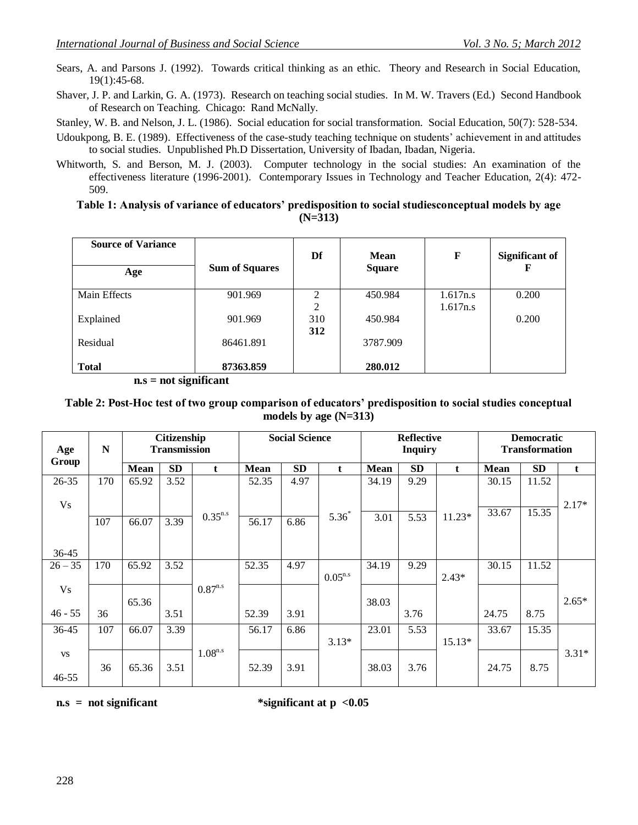- Sears, A. and Parsons J. (1992). Towards critical thinking as an ethic. Theory and Research in Social Education, 19(1):45-68.
- Shaver, J. P. and Larkin, G. A. (1973). Research on teaching social studies. In M. W. Travers (Ed.) Second Handbook of Research on Teaching. Chicago: Rand McNally.
- Stanley, W. B. and Nelson, J. L. (1986). Social education for social transformation. Social Education, 50(7): 528-534.
- Udoukpong, B. E. (1989). Effectiveness of the case-study teaching technique on students' achievement in and attitudes to social studies. Unpublished Ph.D Dissertation, University of Ibadan, Ibadan, Nigeria.
- Whitworth, S. and Berson, M. J. (2003). Computer technology in the social studies: An examination of the effectiveness literature (1996-2001). Contemporary Issues in Technology and Teacher Education, 2(4): 472- 509.

#### **Table 1: Analysis of variance of educators' predisposition to social studiesconceptual models by age (N=313)**

| <b>Source of Variance</b><br>Age | <b>Sum of Squares</b> | Df  | Mean<br><b>Square</b> | F        | <b>Significant of</b><br>F |
|----------------------------------|-----------------------|-----|-----------------------|----------|----------------------------|
| Main Effects                     | 901.969               | 2   | 450.984               | 1.617n.s | 0.200                      |
|                                  |                       | 2   |                       | 1.617n.s |                            |
| Explained                        | 901.969               | 310 | 450.984               |          | 0.200                      |
|                                  |                       | 312 |                       |          |                            |
| Residual                         | 86461.891             |     | 3787.909              |          |                            |
|                                  |                       |     |                       |          |                            |
| <b>Total</b>                     | 87363.859             |     | 280.012               |          |                            |

 **n.s = not significant**

## **Table 2: Post-Hoc test of two group comparison of educators' predisposition to social studies conceptual models by age (N=313)**

| Age<br>Group | $\mathbf N$ |             | <b>Citizenship</b><br><b>Transmission</b> |              | <b>Social Science</b> |           | <b>Reflective</b><br><b>Inquiry</b> |             |           | <b>Democratic</b><br><b>Transformation</b> |       |           |         |
|--------------|-------------|-------------|-------------------------------------------|--------------|-----------------------|-----------|-------------------------------------|-------------|-----------|--------------------------------------------|-------|-----------|---------|
|              |             | <b>Mean</b> | <b>SD</b>                                 | t            | <b>Mean</b>           | <b>SD</b> | t                                   | <b>Mean</b> | <b>SD</b> | t                                          | Mean  | <b>SD</b> | t       |
| 26-35        | 170         | 65.92       | 3.52                                      |              | 52.35                 | 4.97      |                                     | 34.19       | 9.29      |                                            | 30.15 | 11.52     |         |
| <b>Vs</b>    |             |             |                                           |              |                       |           |                                     |             |           |                                            | 33.67 | 15.35     | $2.17*$ |
|              | 107         | 66.07       | 3.39                                      | $0.35^{n.s}$ | 56.17                 | 6.86      | $5.36*$                             | 3.01        | 5.53      | $11.23*$                                   |       |           |         |
|              |             |             |                                           |              |                       |           |                                     |             |           |                                            |       |           |         |
| $36 - 45$    |             |             |                                           |              |                       |           |                                     |             |           |                                            |       |           |         |
| $26 - 35$    | 170         | 65.92       | 3.52                                      |              | 52.35                 | 4.97      |                                     | 34.19       | 9.29      |                                            | 30.15 | 11.52     |         |
|              |             |             |                                           |              |                       |           | $0.05^{n.s}$                        |             |           | $2.43*$                                    |       |           |         |
| <b>Vs</b>    |             |             |                                           | $0.87^{n.s}$ |                       |           |                                     |             |           |                                            |       |           |         |
| $46 - 55$    | 36          | 65.36       |                                           |              |                       | 3.91      |                                     | 38.03       |           |                                            |       | 8.75      | $2.65*$ |
|              |             |             | 3.51                                      |              | 52.39                 |           |                                     |             | 3.76      |                                            | 24.75 |           |         |
| 36-45        | 107         | 66.07       | 3.39                                      |              | 56.17                 | 6.86      |                                     | 23.01       | 5.53      |                                            | 33.67 | 15.35     |         |
|              |             |             |                                           |              |                       |           | $3.13*$                             |             |           | 15.13*                                     |       |           |         |
| <b>VS</b>    |             |             |                                           | $1.08^{n.s}$ |                       |           |                                     |             |           |                                            |       |           | $3.31*$ |
|              | 36          | 65.36       | 3.51                                      |              | 52.39                 | 3.91      |                                     | 38.03       | 3.76      |                                            | 24.75 | 8.75      |         |
| $46 - 55$    |             |             |                                           |              |                       |           |                                     |             |           |                                            |       |           |         |

n.s = not significant \*significant at  $p < 0.05$